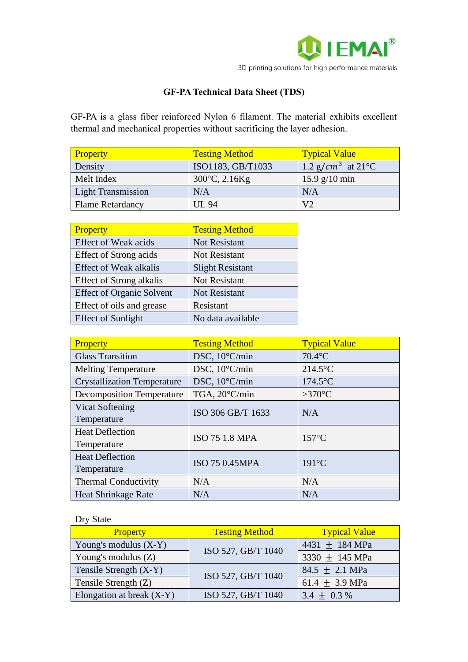

## **GF-PA Technical Data Sheet (TDS)**

GF-PA is a glass fiber reinforced Nylon 6 filament. The material exhibits excellent thermal and mechanical properties without sacrificing the layer adhesion.

| <b>Property</b>           | <b>Testing Method</b>      | <b>Typical Value</b>                       |
|---------------------------|----------------------------|--------------------------------------------|
| Density                   | ISO1183, GB/T1033          | 1.2 g/cm <sup>3</sup> at 21 <sup>o</sup> C |
| Melt Index                | $300^{\circ}$ C, $2.16$ Kg | $15.9$ g/10 min                            |
| <b>Light Transmission</b> | N/A                        | N/A                                        |
| <b>Flame Retardancy</b>   | <b>UL 94</b>               | V <sub>2</sub>                             |

| Property                         | <b>Testing Method</b>   |
|----------------------------------|-------------------------|
| <b>Effect of Weak acids</b>      | <b>Not Resistant</b>    |
| Effect of Strong acids           | <b>Not Resistant</b>    |
| <b>Effect of Weak alkalis</b>    | <b>Slight Resistant</b> |
| <b>Effect of Strong alkalis</b>  | <b>Not Resistant</b>    |
| <b>Effect of Organic Solvent</b> | <b>Not Resistant</b>    |
| Effect of oils and grease        | Resistant               |
| <b>Effect of Sunlight</b>        | No data available       |

| Property                           | <b>Testing Method</b> | <b>Typical Value</b> |
|------------------------------------|-----------------------|----------------------|
| <b>Glass Transition</b>            | DSC, 10°C/min         | $70.4$ °C            |
| <b>Melting Temperature</b>         | DSC, 10°C/min         | $214.5^{\circ}$ C    |
| <b>Crystallization Temperature</b> | DSC, 10°C/min         | $174.5$ °C           |
| <b>Decomposition Temperature</b>   | TGA, 20°C/min         | $>370^{\circ}$ C     |
| <b>Vicat Softening</b>             | ISO 306 GB/T 1633     | N/A                  |
| Temperature                        |                       |                      |
| <b>Heat Deflection</b>             | ISO 75 1.8 MPA        | $157^{\circ}$ C      |
| Temperature                        |                       |                      |
| <b>Heat Deflection</b>             | ISO 75 0.45MPA        | $191^{\circ}$ C      |
| Temperature                        |                       |                      |
| <b>Thermal Conductivity</b>        | N/A                   | N/A                  |
| <b>Heat Shrinkage Rate</b>         | N/A                   | N/A                  |

## Dry State

| <b>Property</b>             | <b>Testing Method</b> | <b>Typical Value</b>       |
|-----------------------------|-----------------------|----------------------------|
| Young's modulus $(X-Y)$     | ISO 527, GB/T 1040    | 4431 $\pm$ 184 MPa         |
| Young's modulus $(Z)$       |                       | 3330 $\pm$ 145 MPa         |
| Tensile Strength $(X-Y)$    | ISO 527, GB/T 1040    | $84.5 \pm 2.1 \text{ MPa}$ |
| Tensile Strength (Z)        |                       | 61.4 $\pm$ 3.9 MPa         |
| Elongation at break $(X-Y)$ | ISO 527, GB/T 1040    | 3.4 $\pm$ 0.3 %            |